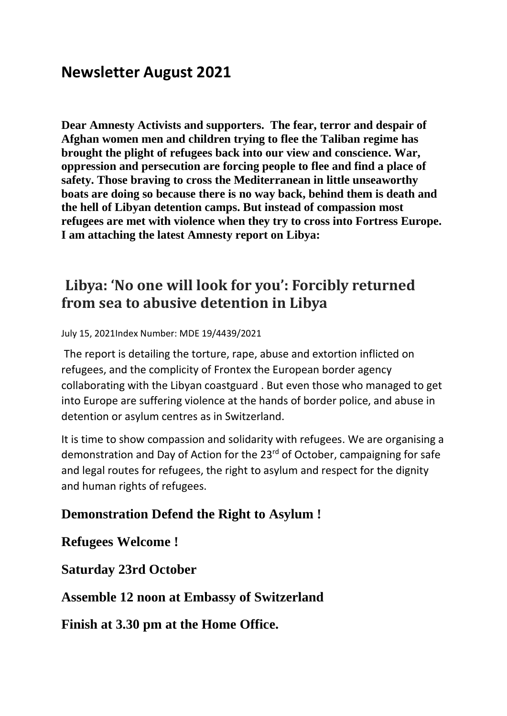# **Newsletter August 2021**

**Dear Amnesty Activists and supporters. The fear, terror and despair of Afghan women men and children trying to flee the Taliban regime has brought the plight of refugees back into our view and conscience. War, oppression and persecution are forcing people to flee and find a place of safety. Those braving to cross the Mediterranean in little unseaworthy boats are doing so because there is no way back, behind them is death and the hell of Libyan detention camps. But instead of compassion most refugees are met with violence when they try to cross into Fortress Europe. I am attaching the latest Amnesty report on Libya:**

# **Libya: 'No one will look for you': Forcibly returned from sea to abusive detention in Libya**

July 15, 2021Index Number: MDE 19/4439/2021

The report is detailing the torture, rape, abuse and extortion inflicted on refugees, and the complicity of Frontex the European border agency collaborating with the Libyan coastguard . But even those who managed to get into Europe are suffering violence at the hands of border police, and abuse in detention or asylum centres as in Switzerland.

It is time to show compassion and solidarity with refugees. We are organising a demonstration and Day of Action for the 23rd of October, campaigning for safe and legal routes for refugees, the right to asylum and respect for the dignity and human rights of refugees.

## **Demonstration Defend the Right to Asylum !**

**Refugees Welcome !**

**Saturday 23rd October**

**Assemble 12 noon at Embassy of Switzerland**

**Finish at 3.30 pm at the Home Office.**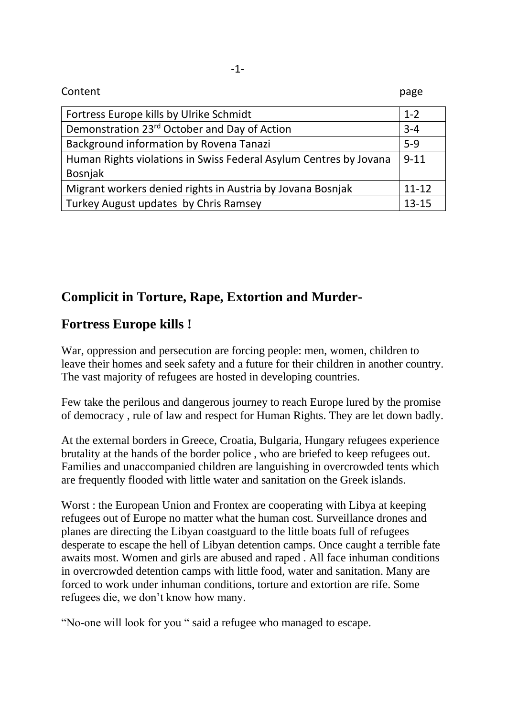| Content                                                                      | page      |
|------------------------------------------------------------------------------|-----------|
| Fortress Europe kills by Ulrike Schmidt                                      | $1 - 2$   |
| Demonstration 23 <sup>rd</sup> October and Day of Action                     | $3 - 4$   |
| Background information by Rovena Tanazi                                      | $5-9$     |
| Human Rights violations in Swiss Federal Asylum Centres by Jovana<br>Bosnjak | $9 - 11$  |
| Migrant workers denied rights in Austria by Jovana Bosnjak                   | $11 - 12$ |
| Turkey August updates by Chris Ramsey                                        | $13 - 15$ |

# **Complicit in Torture, Rape, Extortion and Murder-**

## **Fortress Europe kills !**

War, oppression and persecution are forcing people: men, women, children to leave their homes and seek safety and a future for their children in another country. The vast majority of refugees are hosted in developing countries.

Few take the perilous and dangerous journey to reach Europe lured by the promise of democracy , rule of law and respect for Human Rights. They are let down badly.

At the external borders in Greece, Croatia, Bulgaria, Hungary refugees experience brutality at the hands of the border police , who are briefed to keep refugees out. Families and unaccompanied children are languishing in overcrowded tents which are frequently flooded with little water and sanitation on the Greek islands.

Worst : the European Union and Frontex are cooperating with Libya at keeping refugees out of Europe no matter what the human cost. Surveillance drones and planes are directing the Libyan coastguard to the little boats full of refugees desperate to escape the hell of Libyan detention camps. Once caught a terrible fate awaits most. Women and girls are abused and raped . All face inhuman conditions in overcrowded detention camps with little food, water and sanitation. Many are forced to work under inhuman conditions, torture and extortion are rife. Some refugees die, we don't know how many.

"No-one will look for you " said a refugee who managed to escape.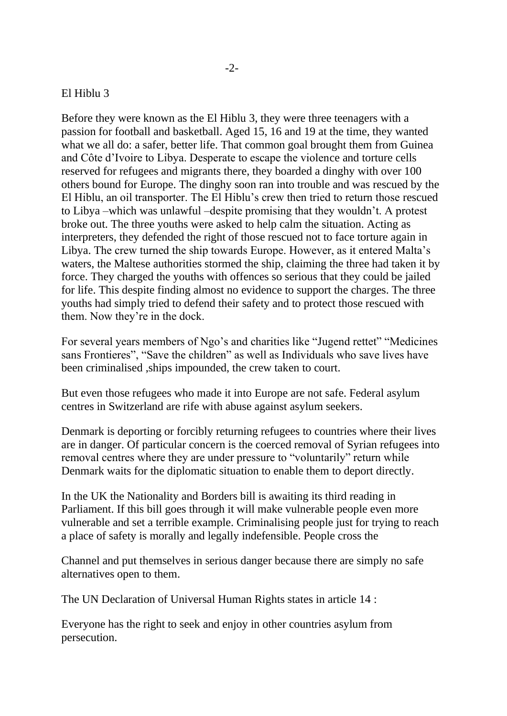#### El Hiblu 3

Before they were known as the El Hiblu 3, they were three teenagers with a passion for football and basketball. Aged 15, 16 and 19 at the time, they wanted what we all do: a safer, better life. That common goal brought them from Guinea and Côte d'Ivoire to Libya. Desperate to escape the violence and torture cells reserved for refugees and migrants there, they boarded a dinghy with over 100 others bound for Europe. The dinghy soon ran into trouble and was rescued by the El Hiblu, an oil transporter. The El Hiblu's crew then tried to return those rescued to Libya –which was unlawful –despite promising that they wouldn't. A protest broke out. The three youths were asked to help calm the situation. Acting as interpreters, they defended the right of those rescued not to face torture again in Libya. The crew turned the ship towards Europe. However, as it entered Malta's waters, the Maltese authorities stormed the ship, claiming the three had taken it by force. They charged the youths with offences so serious that they could be jailed for life. This despite finding almost no evidence to support the charges. The three youths had simply tried to defend their safety and to protect those rescued with them. Now they're in the dock.

For several years members of Ngo's and charities like "Jugend rettet" "Medicines sans Frontieres", "Save the children" as well as Individuals who save lives have been criminalised ,ships impounded, the crew taken to court.

But even those refugees who made it into Europe are not safe. Federal asylum centres in Switzerland are rife with abuse against asylum seekers.

Denmark is deporting or forcibly returning refugees to countries where their lives are in danger. Of particular concern is the coerced removal of Syrian refugees into removal centres where they are under pressure to "voluntarily" return while Denmark waits for the diplomatic situation to enable them to deport directly.

In the UK the Nationality and Borders bill is awaiting its third reading in Parliament. If this bill goes through it will make vulnerable people even more vulnerable and set a terrible example. Criminalising people just for trying to reach a place of safety is morally and legally indefensible. People cross the

Channel and put themselves in serious danger because there are simply no safe alternatives open to them.

The UN Declaration of Universal Human Rights states in article 14 :

Everyone has the right to seek and enjoy in other countries asylum from persecution.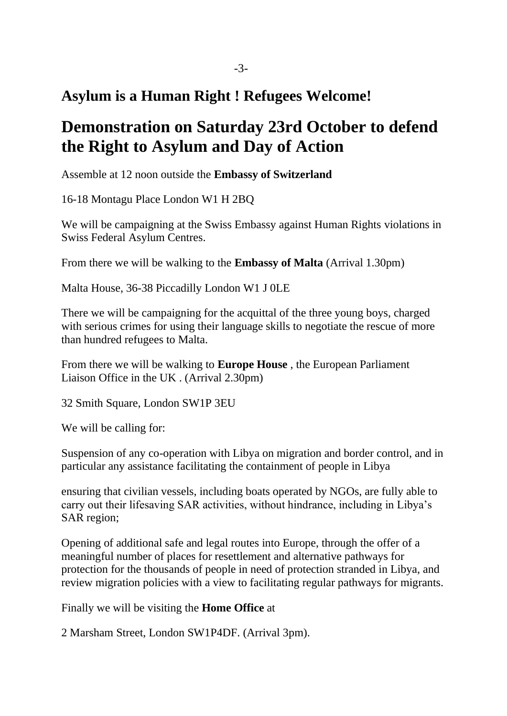# **Asylum is a Human Right ! Refugees Welcome!**

# **Demonstration on Saturday 23rd October to defend the Right to Asylum and Day of Action**

Assemble at 12 noon outside the **Embassy of Switzerland**

16-18 Montagu Place London W1 H 2BQ

We will be campaigning at the Swiss Embassy against Human Rights violations in Swiss Federal Asylum Centres.

From there we will be walking to the **Embassy of Malta** (Arrival 1.30pm)

Malta House, 36-38 Piccadilly London W1 J 0LE

There we will be campaigning for the acquittal of the three young boys, charged with serious crimes for using their language skills to negotiate the rescue of more than hundred refugees to Malta.

From there we will be walking to **Europe House** , the European Parliament Liaison Office in the UK . (Arrival 2.30pm)

32 Smith Square, London SW1P 3EU

We will be calling for:

Suspension of any co-operation with Libya on migration and border control, and in particular any assistance facilitating the containment of people in Libya

ensuring that civilian vessels, including boats operated by NGOs, are fully able to carry out their lifesaving SAR activities, without hindrance, including in Libya's SAR region;

Opening of additional safe and legal routes into Europe, through the offer of a meaningful number of places for resettlement and alternative pathways for protection for the thousands of people in need of protection stranded in Libya, and review migration policies with a view to facilitating regular pathways for migrants.

Finally we will be visiting the **Home Office** at

2 Marsham Street, London SW1P4DF. (Arrival 3pm).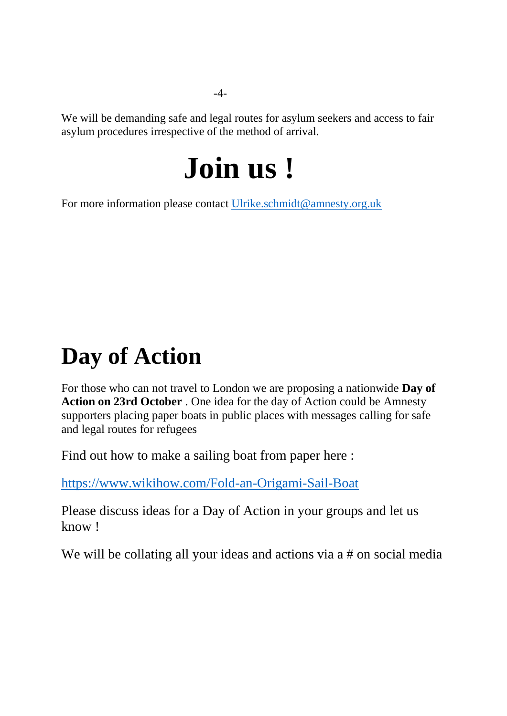We will be demanding safe and legal routes for asylum seekers and access to fair asylum procedures irrespective of the method of arrival.

# **Join us !**

For more information please contact [Ulrike.schmidt@amnesty.org.uk](mailto:Ulrike.schmidt@amnesty.org.uk)

# **Day of Action**

For those who can not travel to London we are proposing a nationwide **Day of Action on 23rd October** . One idea for the day of Action could be Amnesty supporters placing paper boats in public places with messages calling for safe and legal routes for refugees

Find out how to make a sailing boat from paper here :

<https://www.wikihow.com/Fold-an-Origami-Sail-Boat>

Please discuss ideas for a Day of Action in your groups and let us know !

We will be collating all your ideas and actions via a # on social media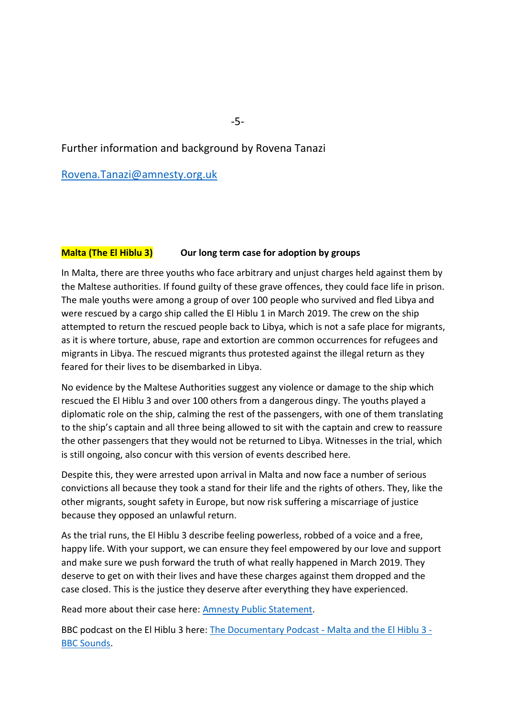#### Further information and background by Rovena Tanazi

[Rovena.Tanazi@amnesty.org.uk](mailto:Rovena.Tanazi@amnesty.org.uk)

#### **Malta (The El Hiblu 3)** Our long term case for adoption by groups

In Malta, there are three youths who face arbitrary and unjust charges held against them by the Maltese authorities. If found guilty of these grave offences, they could face life in prison. The male youths were among a group of over 100 people who survived and fled Libya and were rescued by a cargo ship called the El Hiblu 1 in March 2019. The crew on the ship attempted to return the rescued people back to Libya, which is not a safe place for migrants, as it is where torture, abuse, rape and extortion are common occurrences for refugees and migrants in Libya. The rescued migrants thus protested against the illegal return as they feared for their lives to be disembarked in Libya.

No evidence by the Maltese Authorities suggest any violence or damage to the ship which rescued the El Hiblu 3 and over 100 others from a dangerous dingy. The youths played a diplomatic role on the ship, calming the rest of the passengers, with one of them translating to the ship's captain and all three being allowed to sit with the captain and crew to reassure the other passengers that they would not be returned to Libya. Witnesses in the trial, which is still ongoing, also concur with this version of events described here.

Despite this, they were arrested upon arrival in Malta and now face a number of serious convictions all because they took a stand for their life and the rights of others. They, like the other migrants, sought safety in Europe, but now risk suffering a miscarriage of justice because they opposed an unlawful return.

As the trial runs, the El Hiblu 3 describe feeling powerless, robbed of a voice and a free, happy life. With your support, we can ensure they feel empowered by our love and support and make sure we push forward the truth of what really happened in March 2019. They deserve to get on with their lives and have these charges against them dropped and the case closed. This is the justice they deserve after everything they have experienced.

Read more about their case here: [Amnesty Public Statement.](https://www.amnesty.org/download/Documents/EUR3338842021ENGLISH.PDF)

BBC podcast on the El Hiblu 3 here: [The Documentary Podcast -](https://www.bbc.co.uk/sounds/play/p09r9l73) Malta and the El Hiblu 3 - [BBC Sounds.](https://www.bbc.co.uk/sounds/play/p09r9l73)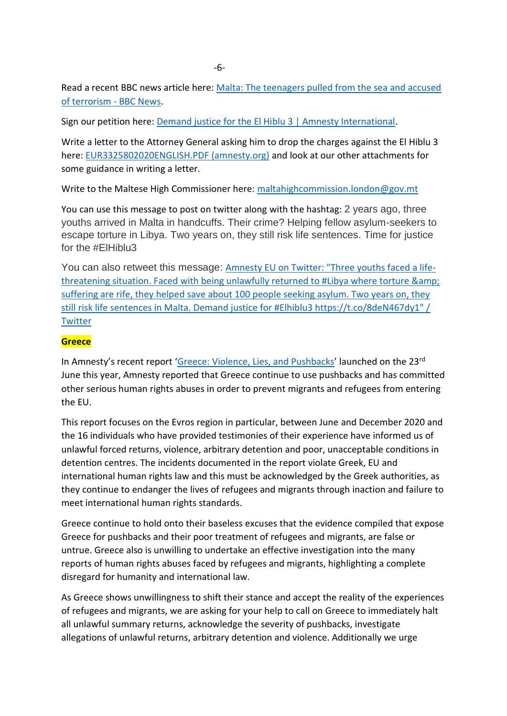Read a recent BBC news article here: Malta: The teenagers pulled from the sea and accused [of terrorism -](https://www.bbc.co.uk/news/world-57988934) BBC News.

Sign our petition here: [Demand justice for the El Hiblu 3 | Amnesty International.](https://www.amnesty.org/en/get-involved/take-action/w4r-2020-malta-el-hiblu-3/)

Write a letter to the Attorney General asking him to drop the charges against the El Hiblu 3 here: [EUR3325802020ENGLISH.PDF \(amnesty.org\)](https://www.amnesty.org/download/Documents/EUR3325802020ENGLISH.PDF) and look at our other attachments for some guidance in writing a letter.

Write to the Maltese High Commissioner here: [maltahighcommission.london@gov.mt](mailto:maltahighcommission.london@gov.mt)

You can use this message to post on twitter along with the hashtag: 2 years ago, three youths arrived in Malta in handcuffs. Their crime? Helping fellow asylum-seekers to escape torture in Libya. Two years on, they still risk life sentences. Time for justice for the #ElHiblu3

You can also retweet this message: [Amnesty EU on Twitter: "Three youths faced a life](https://twitter.com/AmnestyEU/status/1375330172660944897?s=20A)[threatening situation. Faced with being unlawfully returned to #Libya where torture &](https://twitter.com/AmnestyEU/status/1375330172660944897?s=20A)  [suffering are rife, they helped save about 100 people seeking asylum. Two years on, they](https://twitter.com/AmnestyEU/status/1375330172660944897?s=20A)  [still risk life sentences in Malta. Demand justice for #Elhiblu3 https://t.co/8deN467dy1" /](https://twitter.com/AmnestyEU/status/1375330172660944897?s=20A)  **[Twitter](https://twitter.com/AmnestyEU/status/1375330172660944897?s=20A)** 

#### **Greece**

In Amnesty's recent report '[Greece: Violence, Lies, and Pushbacks](file:///C:/Users/User/Documents/WORK/VOLUNTEERING/AMNESTY/Greece/GREECE-VIOLENCE%20LIES%20AND%20PUSHBACKS_EUR25-4307-2021%20(1).pdf)' launched on the 23rd June this year, Amnesty reported that Greece continue to use pushbacks and has committed other serious human rights abuses in order to prevent migrants and refugees from entering the EU.

This report focuses on the Evros region in particular, between June and December 2020 and the 16 individuals who have provided testimonies of their experience have informed us of unlawful forced returns, violence, arbitrary detention and poor, unacceptable conditions in detention centres. The incidents documented in the report violate Greek, EU and international human rights law and this must be acknowledged by the Greek authorities, as they continue to endanger the lives of refugees and migrants through inaction and failure to meet international human rights standards.

Greece continue to hold onto their baseless excuses that the evidence compiled that expose Greece for pushbacks and their poor treatment of refugees and migrants, are false or untrue. Greece also is unwilling to undertake an effective investigation into the many reports of human rights abuses faced by refugees and migrants, highlighting a complete disregard for humanity and international law.

As Greece shows unwillingness to shift their stance and accept the reality of the experiences of refugees and migrants, we are asking for your help to call on Greece to immediately halt all unlawful summary returns, acknowledge the severity of pushbacks, investigate allegations of unlawful returns, arbitrary detention and violence. Additionally we urge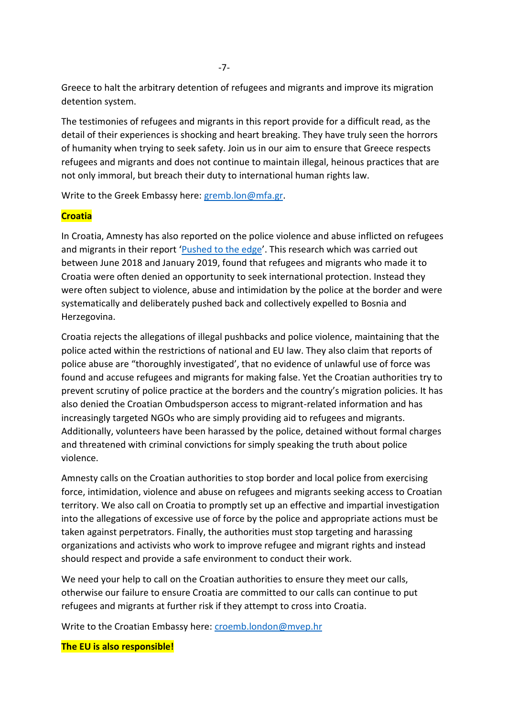Greece to halt the arbitrary detention of refugees and migrants and improve its migration detention system.

The testimonies of refugees and migrants in this report provide for a difficult read, as the detail of their experiences is shocking and heart breaking. They have truly seen the horrors of humanity when trying to seek safety. Join us in our aim to ensure that Greece respects refugees and migrants and does not continue to maintain illegal, heinous practices that are not only immoral, but breach their duty to international human rights law.

Write to the Greek Embassy here: [gremb.lon@mfa.gr.](mailto:gremb.lon@mfa.gr)

#### **Croatia**

In Croatia, Amnesty has also reported on the police violence and abuse inflicted on refugees and migrants in their report '[Pushed to the edge](file:///C:/Users/User/Documents/WORK/VOLUNTEERING/AMNESTY/Croatia%20&%20Bosnia/AI%20Report%20Croatia%20Violence%20at%20the%20border%5b6423%5d.PDF)'. This research which was carried out between June 2018 and January 2019, found that refugees and migrants who made it to Croatia were often denied an opportunity to seek international protection. Instead they were often subject to violence, abuse and intimidation by the police at the border and were systematically and deliberately pushed back and collectively expelled to Bosnia and Herzegovina.

Croatia rejects the allegations of illegal pushbacks and police violence, maintaining that the police acted within the restrictions of national and EU law. They also claim that reports of police abuse are "thoroughly investigated', that no evidence of unlawful use of force was found and accuse refugees and migrants for making false. Yet the Croatian authorities try to prevent scrutiny of police practice at the borders and the country's migration policies. It has also denied the Croatian Ombudsperson access to migrant-related information and has increasingly targeted NGOs who are simply providing aid to refugees and migrants. Additionally, volunteers have been harassed by the police, detained without formal charges and threatened with criminal convictions for simply speaking the truth about police violence.

Amnesty calls on the Croatian authorities to stop border and local police from exercising force, intimidation, violence and abuse on refugees and migrants seeking access to Croatian territory. We also call on Croatia to promptly set up an effective and impartial investigation into the allegations of excessive use of force by the police and appropriate actions must be taken against perpetrators. Finally, the authorities must stop targeting and harassing organizations and activists who work to improve refugee and migrant rights and instead should respect and provide a safe environment to conduct their work.

We need your help to call on the Croatian authorities to ensure they meet our calls, otherwise our failure to ensure Croatia are committed to our calls can continue to put refugees and migrants at further risk if they attempt to cross into Croatia.

Write to the Croatian Embassy here: [croemb.london@mvep.hr](mailto:croemb.london@mvep.hr)

#### **The EU is also responsible!**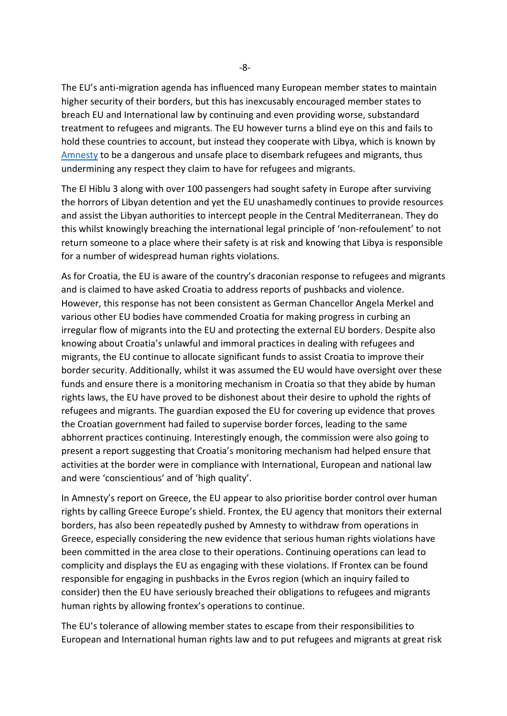The EU's anti-migration agenda has influenced many European member states to maintain higher security of their borders, but this has inexcusably encouraged member states to breach EU and International law by continuing and even providing worse, substandard treatment to refugees and migrants. The EU however turns a blind eye on this and fails to hold these countries to account, but instead they cooperate with Libya, which is known by [Amnesty](file:///C:/Users/User/Documents/WORK/VOLUNTEERING/AMNESTY/Libya/12072021%20Report%20final.pdf) to be a dangerous and unsafe place to disembark refugees and migrants, thus undermining any respect they claim to have for refugees and migrants.

The El Hiblu 3 along with over 100 passengers had sought safety in Europe after surviving the horrors of Libyan detention and yet the EU unashamedly continues to provide resources and assist the Libyan authorities to intercept people in the Central Mediterranean. They do this whilst knowingly breaching the international legal principle of 'non-refoulement' to not return someone to a place where their safety is at risk and knowing that Libya is responsible for a number of widespread human rights violations.

As for Croatia, the EU is aware of the country's draconian response to refugees and migrants and is claimed to have asked Croatia to address reports of pushbacks and violence. However, this response has not been consistent as German Chancellor Angela Merkel and various other EU bodies have commended Croatia for making progress in curbing an irregular flow of migrants into the EU and protecting the external EU borders. Despite also knowing about Croatia's unlawful and immoral practices in dealing with refugees and migrants, the EU continue to allocate significant funds to assist Croatia to improve their border security. Additionally, whilst it was assumed the EU would have oversight over these funds and ensure there is a monitoring mechanism in Croatia so that they abide by human rights laws, the EU have proved to be dishonest about their desire to uphold the rights of refugees and migrants. The guardian exposed the EU for covering up evidence that proves the Croatian government had failed to supervise border forces, leading to the same abhorrent practices continuing. Interestingly enough, the commission were also going to present a report suggesting that Croatia's monitoring mechanism had helped ensure that activities at the border were in compliance with International, European and national law and were 'conscientious' and of 'high quality'.

In Amnesty's report on Greece, the EU appear to also prioritise border control over human rights by calling Greece Europe's shield. Frontex, the EU agency that monitors their external borders, has also been repeatedly pushed by Amnesty to withdraw from operations in Greece, especially considering the new evidence that serious human rights violations have been committed in the area close to their operations. Continuing operations can lead to complicity and displays the EU as engaging with these violations. If Frontex can be found responsible for engaging in pushbacks in the Evros region (which an inquiry failed to consider) then the EU have seriously breached their obligations to refugees and migrants human rights by allowing frontex's operations to continue.

The EU's tolerance of allowing member states to escape from their responsibilities to European and International human rights law and to put refugees and migrants at great risk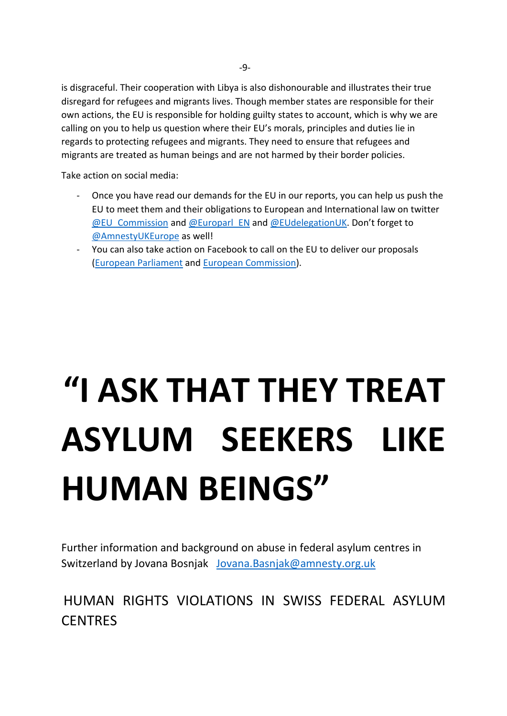is disgraceful. Their cooperation with Libya is also dishonourable and illustrates their true disregard for refugees and migrants lives. Though member states are responsible for their own actions, the EU is responsible for holding guilty states to account, which is why we are calling on you to help us question where their EU's morals, principles and duties lie in regards to protecting refugees and migrants. They need to ensure that refugees and migrants are treated as human beings and are not harmed by their border policies.

Take action on social media:

- Once you have read our demands for the EU in our reports, you can help us push the EU to meet them and their obligations to European and International law on twitter [@EU\\_Commission](https://twitter.com/EU_Commission) and [@Europarl\\_EN](https://twitter.com/Europarl_EN) and [@EUdelegationUK](https://twitter.com/EUdelegationUK). Don't forget to [@AmnestyUKEurope](https://twitter.com/AmnestyUKEurope) as well!
- You can also take action on Facebook to call on the EU to deliver our proposals [\(European Parliament](https://www.facebook.com/europeanparliament) and [European Commission\)](https://www.facebook.com/EuropeanCommission).

# **"I ASK THAT THEY TREAT ASYLUM SEEKERS LIKE HUMAN BEINGS"**

Further information and background on abuse in federal asylum centres in Switzerland by Jovana Bosnjak [Jovana.Basnjak@amnesty.org.uk](mailto:Jovana.Basnjak@amnesty.org.uk)

HUMAN RIGHTS VIOLATIONS IN SWISS FEDERAL ASYLUM **CENTRES**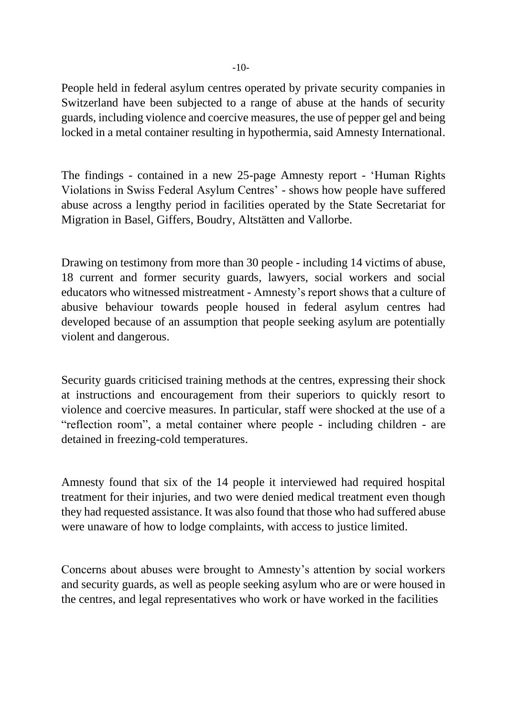People held in federal asylum centres operated by private security companies in Switzerland have been subjected to a range of abuse at the hands of security guards, including violence and coercive measures, the use of pepper gel and being locked in a metal container resulting in hypothermia, said Amnesty International.

The findings - contained in a new 25-page Amnesty report - 'Human Rights Violations in Swiss Federal Asylum Centres' - shows how people have suffered abuse across a lengthy period in facilities operated by the State Secretariat for Migration in Basel, Giffers, Boudry, Altstätten and Vallorbe.

Drawing on testimony from more than 30 people - including 14 victims of abuse, 18 current and former security guards, lawyers, social workers and social educators who witnessed mistreatment - Amnesty's report shows that a culture of abusive behaviour towards people housed in federal asylum centres had developed because of an assumption that people seeking asylum are potentially violent and dangerous.

Security guards criticised training methods at the centres, expressing their shock at instructions and encouragement from their superiors to quickly resort to violence and coercive measures. In particular, staff were shocked at the use of a "reflection room", a metal container where people - including children - are detained in freezing-cold temperatures.

Amnesty found that six of the 14 people it interviewed had required hospital treatment for their injuries, and two were denied medical treatment even though they had requested assistance. It was also found that those who had suffered abuse were unaware of how to lodge complaints, with access to justice limited.

Concerns about abuses were brought to Amnesty's attention by social workers and security guards, as well as people seeking asylum who are or were housed in the centres, and legal representatives who work or have worked in the facilities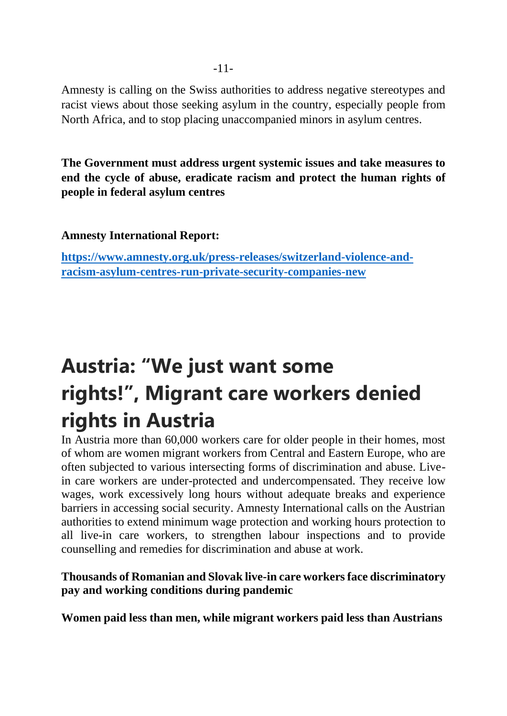Amnesty is calling on the Swiss authorities to address negative stereotypes and racist views about those seeking asylum in the country, especially people from North Africa, and to stop placing unaccompanied minors in asylum centres.

**The Government must address urgent systemic issues and take measures to end the cycle of abuse, eradicate racism and protect the human rights of people in federal asylum centres**

**Amnesty International Report:**

**[https://www.amnesty.org.uk/press-releases/switzerland-violence-and](https://www.amnesty.org.uk/press-releases/switzerland-violence-and-racism-asylum-centres-run-private-security-companies-new)[racism-asylum-centres-run-private-security-companies-new](https://www.amnesty.org.uk/press-releases/switzerland-violence-and-racism-asylum-centres-run-private-security-companies-new)**

# **Austria: "We just want some rights!", Migrant care workers denied rights in Austria**

In Austria more than 60,000 workers care for older people in their homes, most of whom are women migrant workers from Central and Eastern Europe, who are often subjected to various intersecting forms of discrimination and abuse. Livein care workers are under-protected and undercompensated. They receive low wages, work excessively long hours without adequate breaks and experience barriers in accessing social security. Amnesty International calls on the Austrian authorities to extend minimum wage protection and working hours protection to all live-in care workers, to strengthen labour inspections and to provide counselling and remedies for discrimination and abuse at work.

### **Thousands of Romanian and Slovak live-in care workers face discriminatory pay and working conditions during pandemic**

**Women paid less than men, while migrant workers paid less than Austrians**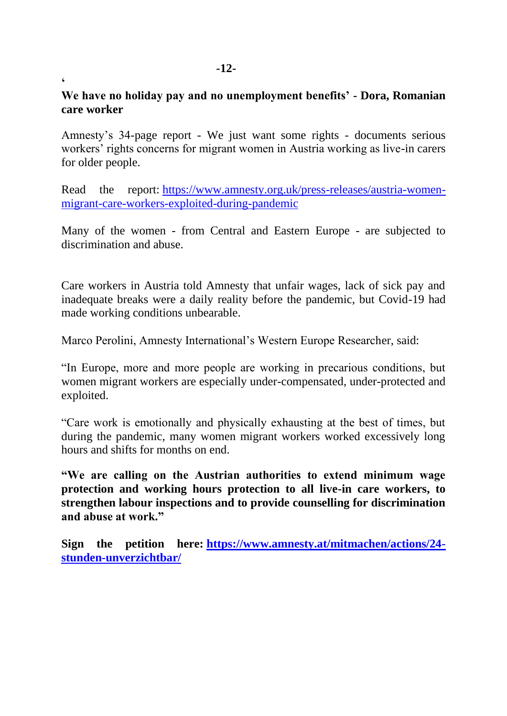## **We have no holiday pay and no unemployment benefits' - Dora, Romanian care worker**

Amnesty's 34-page report - We just want some rights - documents serious workers' rights concerns for migrant women in Austria working as live-in carers for older people.

Read the report: [https://www.amnesty.org.uk/press-releases/austria-women](https://www.amnesty.org.uk/press-releases/austria-women-migrant-care-workers-exploited-during-pandemic)[migrant-care-workers-exploited-during-pandemic](https://www.amnesty.org.uk/press-releases/austria-women-migrant-care-workers-exploited-during-pandemic)

Many of the women - from Central and Eastern Europe - are subjected to discrimination and abuse.

Care workers in Austria told Amnesty that unfair wages, lack of sick pay and inadequate breaks were a daily reality before the pandemic, but Covid-19 had made working conditions unbearable.

Marco Perolini, Amnesty International's Western Europe Researcher, said:

"In Europe, more and more people are working in precarious conditions, but women migrant workers are especially under-compensated, under-protected and exploited.

"Care work is emotionally and physically exhausting at the best of times, but during the pandemic, many women migrant workers worked excessively long hours and shifts for months on end.

**"We are calling on the Austrian authorities to extend minimum wage protection and working hours protection to all live-in care workers, to strengthen labour inspections and to provide counselling for discrimination and abuse at work."**

**Sign the petition here: [https://www.amnesty.at/mitmachen/actions/24](https://www.amnesty.at/mitmachen/actions/24-stunden-unverzichtbar/) [stunden-unverzichtbar/](https://www.amnesty.at/mitmachen/actions/24-stunden-unverzichtbar/)**

**'**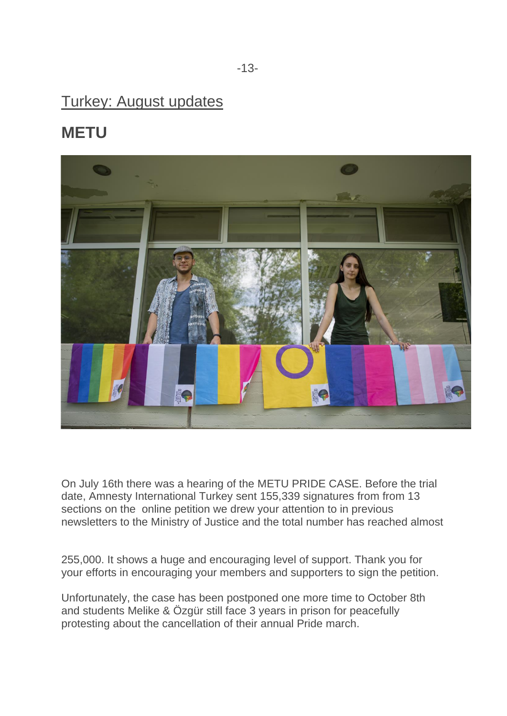# Turkey: August updates

# **METU**



On July 16th there was a hearing of the METU PRIDE CASE. Before the trial date, Amnesty International Turkey sent 155,339 signatures from from 13 sections on the online petition we drew your attention to in previous newsletters to the Ministry of Justice and the total number has reached almost

255,000. It shows a huge and encouraging level of support. Thank you for your efforts in encouraging your members and supporters to sign the petition.

Unfortunately, the case has been postponed one more time to October 8th and students Melike & Özgür still face 3 years in prison for peacefully protesting about the cancellation of their annual Pride march.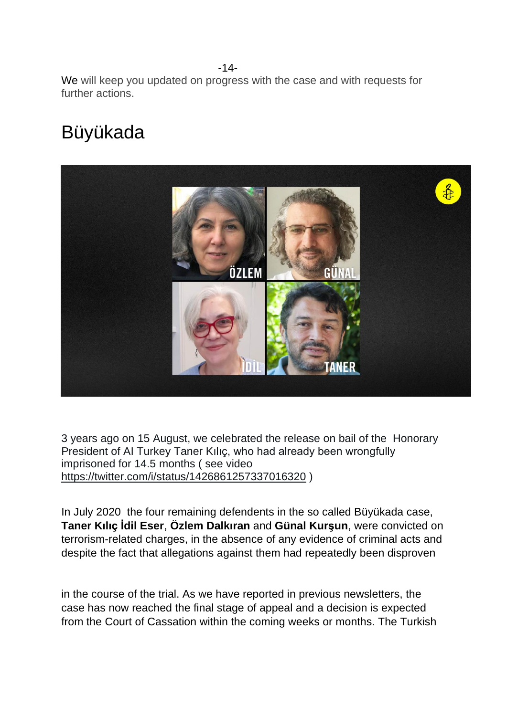-14- We will keep you updated on progress with the case and with requests for further actions.

# Büyükada



3 years ago on 15 August, we celebrated the release on bail of the Honorary President of AI Turkey Taner Kılıç, who had already been wrongfully imprisoned for 14.5 months ( see video <https://twitter.com/i/status/1426861257337016320> )

In July 2020 the four remaining defendents in the so called Büyükada case, **Taner Kılıç İdil Eser**, **Özlem Dalkıran** and **Günal Kurşun**, were convicted on terrorism-related charges, in the absence of any evidence of criminal acts and despite the fact that allegations against them had repeatedly been disproven

in the course of the trial. As we have reported in previous newsletters, the case has now reached the final stage of appeal and a decision is expected from the Court of Cassation within the coming weeks or months. The Turkish